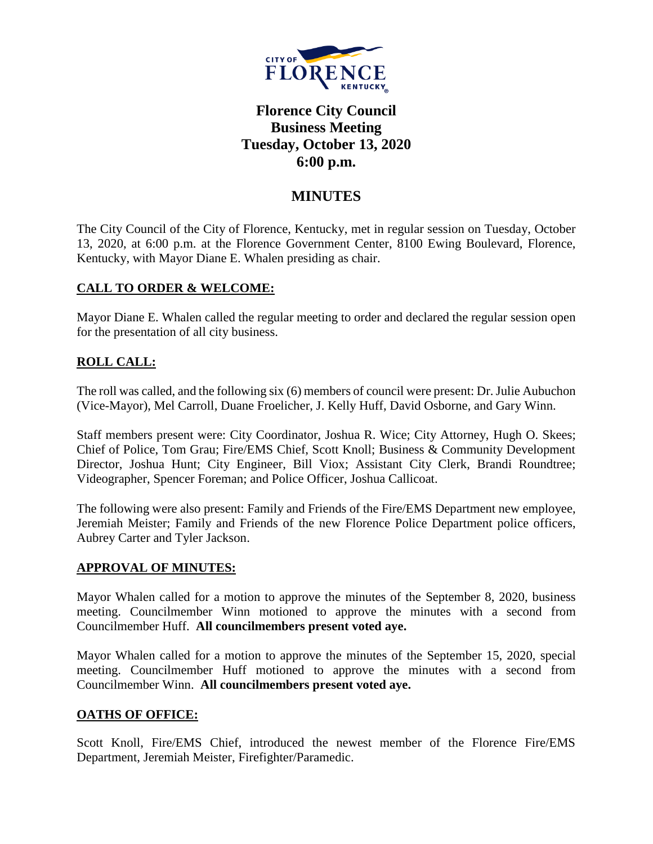

# **Florence City Council Business Meeting Tuesday, October 13, 2020 6:00 p.m.**

## **MINUTES**

The City Council of the City of Florence, Kentucky, met in regular session on Tuesday, October 13, 2020, at 6:00 p.m. at the Florence Government Center, 8100 Ewing Boulevard, Florence, Kentucky, with Mayor Diane E. Whalen presiding as chair.

## **CALL TO ORDER & WELCOME:**

Mayor Diane E. Whalen called the regular meeting to order and declared the regular session open for the presentation of all city business.

## **ROLL CALL:**

The roll was called, and the following six (6) members of council were present: Dr. Julie Aubuchon (Vice-Mayor), Mel Carroll, Duane Froelicher, J. Kelly Huff, David Osborne, and Gary Winn.

Staff members present were: City Coordinator, Joshua R. Wice; City Attorney, Hugh O. Skees; Chief of Police, Tom Grau; Fire/EMS Chief, Scott Knoll; Business & Community Development Director, Joshua Hunt; City Engineer, Bill Viox; Assistant City Clerk, Brandi Roundtree; Videographer, Spencer Foreman; and Police Officer, Joshua Callicoat.

The following were also present: Family and Friends of the Fire/EMS Department new employee, Jeremiah Meister; Family and Friends of the new Florence Police Department police officers, Aubrey Carter and Tyler Jackson.

## **APPROVAL OF MINUTES:**

Mayor Whalen called for a motion to approve the minutes of the September 8, 2020, business meeting. Councilmember Winn motioned to approve the minutes with a second from Councilmember Huff. **All councilmembers present voted aye.** 

Mayor Whalen called for a motion to approve the minutes of the September 15, 2020, special meeting. Councilmember Huff motioned to approve the minutes with a second from Councilmember Winn. **All councilmembers present voted aye.** 

## **OATHS OF OFFICE:**

Scott Knoll, Fire/EMS Chief, introduced the newest member of the Florence Fire/EMS Department, Jeremiah Meister, Firefighter/Paramedic.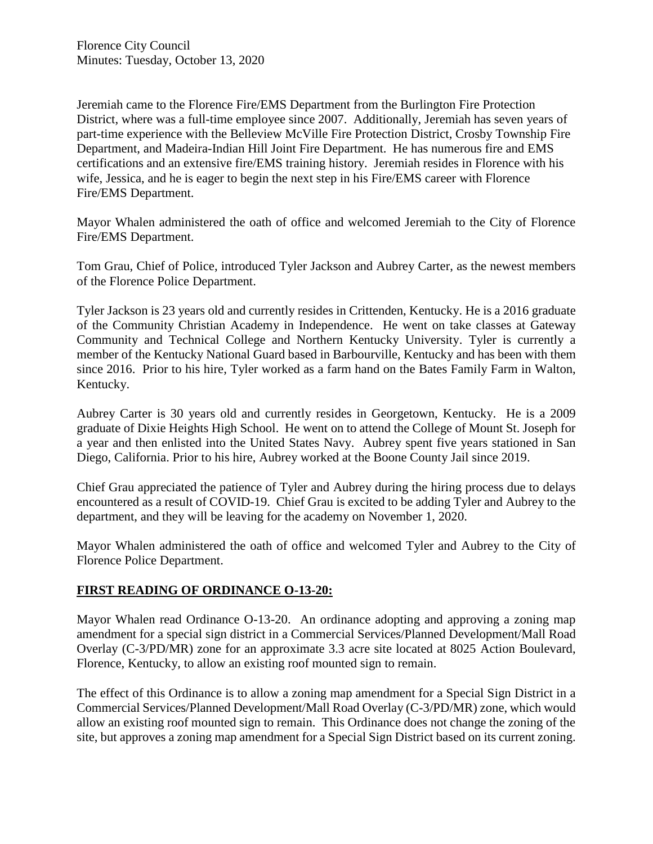Jeremiah came to the Florence Fire/EMS Department from the Burlington Fire Protection District, where was a full-time employee since 2007. Additionally, Jeremiah has seven years of part-time experience with the Belleview McVille Fire Protection District, Crosby Township Fire Department, and Madeira-Indian Hill Joint Fire Department. He has numerous fire and EMS certifications and an extensive fire/EMS training history. Jeremiah resides in Florence with his wife, Jessica, and he is eager to begin the next step in his Fire/EMS career with Florence Fire/EMS Department.

Mayor Whalen administered the oath of office and welcomed Jeremiah to the City of Florence Fire/EMS Department.

Tom Grau, Chief of Police, introduced Tyler Jackson and Aubrey Carter, as the newest members of the Florence Police Department.

Tyler Jackson is 23 years old and currently resides in Crittenden, Kentucky. He is a 2016 graduate of the Community Christian Academy in Independence. He went on take classes at Gateway Community and Technical College and Northern Kentucky University. Tyler is currently a member of the Kentucky National Guard based in Barbourville, Kentucky and has been with them since 2016. Prior to his hire, Tyler worked as a farm hand on the Bates Family Farm in Walton, Kentucky.

Aubrey Carter is 30 years old and currently resides in Georgetown, Kentucky. He is a 2009 graduate of Dixie Heights High School. He went on to attend the College of Mount St. Joseph for a year and then enlisted into the United States Navy. Aubrey spent five years stationed in San Diego, California. Prior to his hire, Aubrey worked at the Boone County Jail since 2019.

Chief Grau appreciated the patience of Tyler and Aubrey during the hiring process due to delays encountered as a result of COVID-19. Chief Grau is excited to be adding Tyler and Aubrey to the department, and they will be leaving for the academy on November 1, 2020.

Mayor Whalen administered the oath of office and welcomed Tyler and Aubrey to the City of Florence Police Department.

## **FIRST READING OF ORDINANCE O-13-20:**

Mayor Whalen read Ordinance O-13-20. An ordinance adopting and approving a zoning map amendment for a special sign district in a Commercial Services/Planned Development/Mall Road Overlay (C-3/PD/MR) zone for an approximate 3.3 acre site located at 8025 Action Boulevard, Florence, Kentucky, to allow an existing roof mounted sign to remain.

The effect of this Ordinance is to allow a zoning map amendment for a Special Sign District in a Commercial Services/Planned Development/Mall Road Overlay (C-3/PD/MR) zone, which would allow an existing roof mounted sign to remain. This Ordinance does not change the zoning of the site, but approves a zoning map amendment for a Special Sign District based on its current zoning.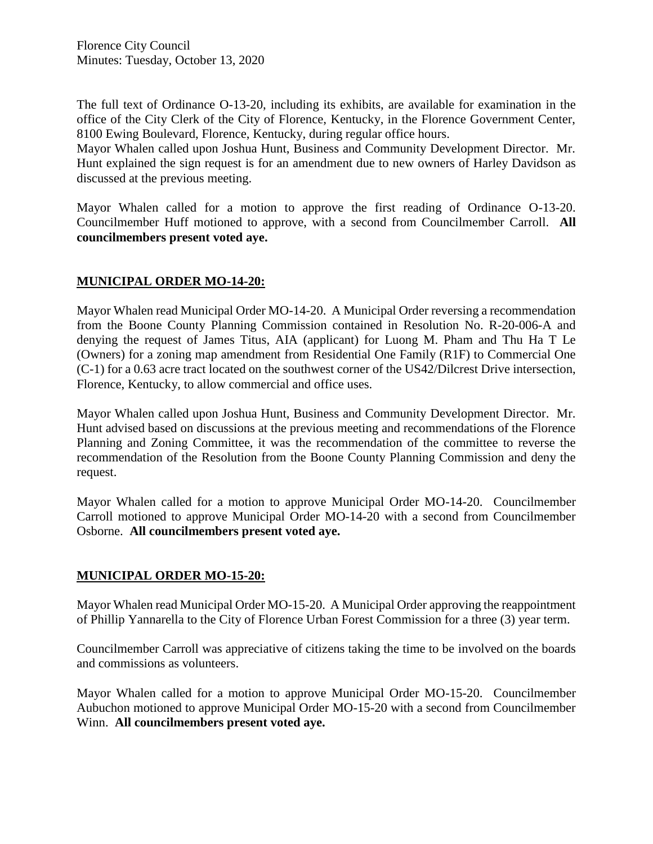The full text of Ordinance O-13-20, including its exhibits, are available for examination in the office of the City Clerk of the City of Florence, Kentucky, in the Florence Government Center, 8100 Ewing Boulevard, Florence, Kentucky, during regular office hours.

Mayor Whalen called upon Joshua Hunt, Business and Community Development Director. Mr. Hunt explained the sign request is for an amendment due to new owners of Harley Davidson as discussed at the previous meeting.

Mayor Whalen called for a motion to approve the first reading of Ordinance O-13-20. Councilmember Huff motioned to approve, with a second from Councilmember Carroll. **All councilmembers present voted aye.** 

## **MUNICIPAL ORDER MO-14-20:**

Mayor Whalen read Municipal Order MO-14-20. A Municipal Order reversing a recommendation from the Boone County Planning Commission contained in Resolution No. R-20-006-A and denying the request of James Titus, AIA (applicant) for Luong M. Pham and Thu Ha T Le (Owners) for a zoning map amendment from Residential One Family (R1F) to Commercial One (C-1) for a 0.63 acre tract located on the southwest corner of the US42/Dilcrest Drive intersection, Florence, Kentucky, to allow commercial and office uses.

Mayor Whalen called upon Joshua Hunt, Business and Community Development Director. Mr. Hunt advised based on discussions at the previous meeting and recommendations of the Florence Planning and Zoning Committee, it was the recommendation of the committee to reverse the recommendation of the Resolution from the Boone County Planning Commission and deny the request.

Mayor Whalen called for a motion to approve Municipal Order MO-14-20. Councilmember Carroll motioned to approve Municipal Order MO-14-20 with a second from Councilmember Osborne. **All councilmembers present voted aye.**

## **MUNICIPAL ORDER MO-15-20:**

Mayor Whalen read Municipal Order MO-15-20. A Municipal Order approving the reappointment of Phillip Yannarella to the City of Florence Urban Forest Commission for a three (3) year term.

Councilmember Carroll was appreciative of citizens taking the time to be involved on the boards and commissions as volunteers.

Mayor Whalen called for a motion to approve Municipal Order MO-15-20. Councilmember Aubuchon motioned to approve Municipal Order MO-15-20 with a second from Councilmember Winn. **All councilmembers present voted aye.**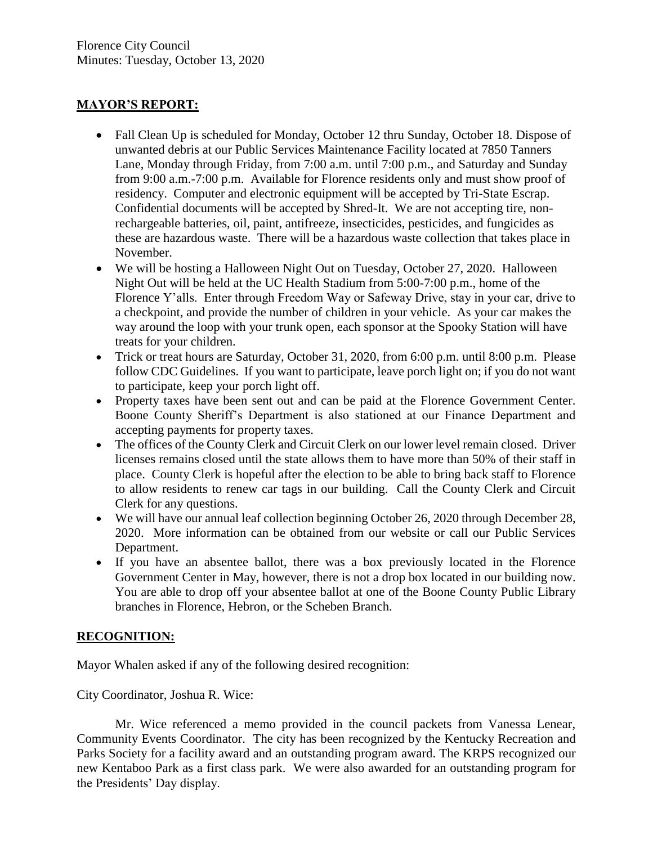## **MAYOR'S REPORT:**

- Fall Clean Up is scheduled for Monday, October 12 thru Sunday, October 18. Dispose of unwanted debris at our Public Services Maintenance Facility located at 7850 Tanners Lane, Monday through Friday, from 7:00 a.m. until 7:00 p.m., and Saturday and Sunday from 9:00 a.m.-7:00 p.m. Available for Florence residents only and must show proof of residency. Computer and electronic equipment will be accepted by Tri-State Escrap. Confidential documents will be accepted by Shred-It. We are not accepting tire, nonrechargeable batteries, oil, paint, antifreeze, insecticides, pesticides, and fungicides as these are hazardous waste. There will be a hazardous waste collection that takes place in November.
- We will be hosting a Halloween Night Out on Tuesday, October 27, 2020. Halloween Night Out will be held at the UC Health Stadium from 5:00-7:00 p.m., home of the Florence Y'alls. Enter through Freedom Way or Safeway Drive, stay in your car, drive to a checkpoint, and provide the number of children in your vehicle. As your car makes the way around the loop with your trunk open, each sponsor at the Spooky Station will have treats for your children.
- Trick or treat hours are Saturday, October 31, 2020, from 6:00 p.m. until 8:00 p.m. Please follow CDC Guidelines. If you want to participate, leave porch light on; if you do not want to participate, keep your porch light off.
- Property taxes have been sent out and can be paid at the Florence Government Center. Boone County Sheriff's Department is also stationed at our Finance Department and accepting payments for property taxes.
- The offices of the County Clerk and Circuit Clerk on our lower level remain closed. Driver licenses remains closed until the state allows them to have more than 50% of their staff in place. County Clerk is hopeful after the election to be able to bring back staff to Florence to allow residents to renew car tags in our building. Call the County Clerk and Circuit Clerk for any questions.
- We will have our annual leaf collection beginning October 26, 2020 through December 28, 2020. More information can be obtained from our website or call our Public Services Department.
- If you have an absentee ballot, there was a box previously located in the Florence Government Center in May, however, there is not a drop box located in our building now. You are able to drop off your absentee ballot at one of the Boone County Public Library branches in Florence, Hebron, or the Scheben Branch.

## **RECOGNITION:**

Mayor Whalen asked if any of the following desired recognition:

City Coordinator, Joshua R. Wice:

 Mr. Wice referenced a memo provided in the council packets from Vanessa Lenear, Community Events Coordinator. The city has been recognized by the Kentucky Recreation and Parks Society for a facility award and an outstanding program award. The KRPS recognized our new Kentaboo Park as a first class park. We were also awarded for an outstanding program for the Presidents' Day display.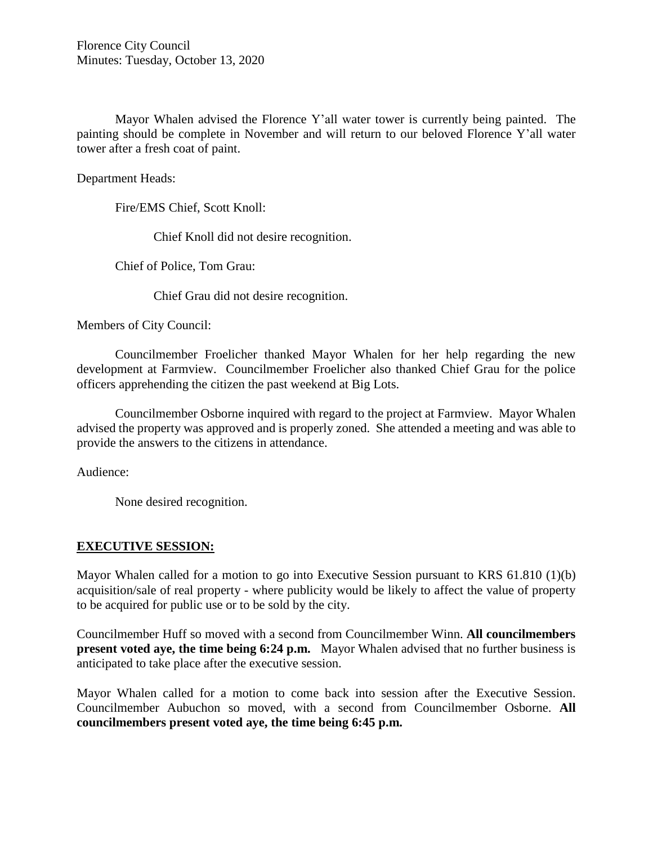Florence City Council Minutes: Tuesday, October 13, 2020

Mayor Whalen advised the Florence Y'all water tower is currently being painted. The painting should be complete in November and will return to our beloved Florence Y'all water tower after a fresh coat of paint.

Department Heads:

Fire/EMS Chief, Scott Knoll:

Chief Knoll did not desire recognition.

Chief of Police, Tom Grau:

Chief Grau did not desire recognition.

Members of City Council:

Councilmember Froelicher thanked Mayor Whalen for her help regarding the new development at Farmview. Councilmember Froelicher also thanked Chief Grau for the police officers apprehending the citizen the past weekend at Big Lots.

Councilmember Osborne inquired with regard to the project at Farmview. Mayor Whalen advised the property was approved and is properly zoned. She attended a meeting and was able to provide the answers to the citizens in attendance.

Audience:

None desired recognition.

## **EXECUTIVE SESSION:**

Mayor Whalen called for a motion to go into Executive Session pursuant to KRS 61.810 (1)(b) acquisition/sale of real property - where publicity would be likely to affect the value of property to be acquired for public use or to be sold by the city.

Councilmember Huff so moved with a second from Councilmember Winn. **All councilmembers present voted aye, the time being 6:24 p.m.** Mayor Whalen advised that no further business is anticipated to take place after the executive session.

Mayor Whalen called for a motion to come back into session after the Executive Session. Councilmember Aubuchon so moved, with a second from Councilmember Osborne. **All councilmembers present voted aye, the time being 6:45 p.m.**